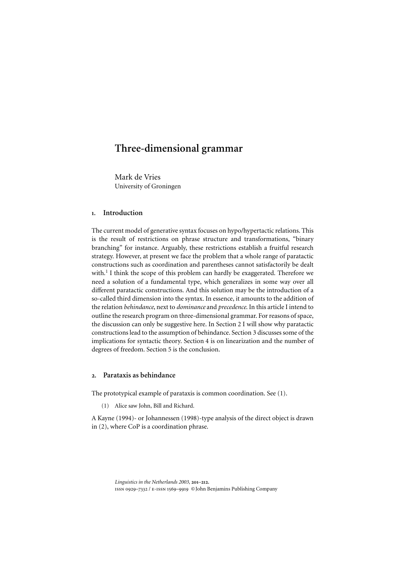# Three-dimensional grammar

Mark de Vries University of Groningen

# 1. Introduction

The current model of generative syntax focuses on hypo/hypertactic relations. This is the result of restrictions on phrase structure and transformations, "binary branching" for instance. Arguably, these restrictions establish a fruitful research strategy. However, at present we face the problem that a whole range of paratactic constructions such as coordination and parentheses cannot satisfactorily be dealt with.<sup>[1](#page-10-0)</sup> I think the scope of this problem can hardly be exaggerated. Therefore we need a solution of a fundamental type, which generalizes in some way over all different paratactic constructions. And this solution may be the introduction of a so-called third dimension into the syntax. In essence, it amounts to the addition of the relation *behindance*, next to *dominance* and *precedence*. In this article I intend to outline the research program on three-dimensional grammar. For reasons of space, the discussion can only be suggestive here. In Section 2 I will show why paratactic constructions lead to the assumption of behindance. Section 3 discusses some of the implications for syntactic theory. Section 4 is on linearization and the number of degrees of freedom. Section 5 is the conclusion.

# 2. Parataxis as behindance

The prototypical example of parataxis is common coordination. See (1).

(1) Alice saw John, Bill and Richard.

A [Kayne \(1994\)-](#page-10-0) or [Johannessen \(1998\)-](#page-10-0)type analysis of the direct object is drawn in (2), where CoP is a coordination phrase.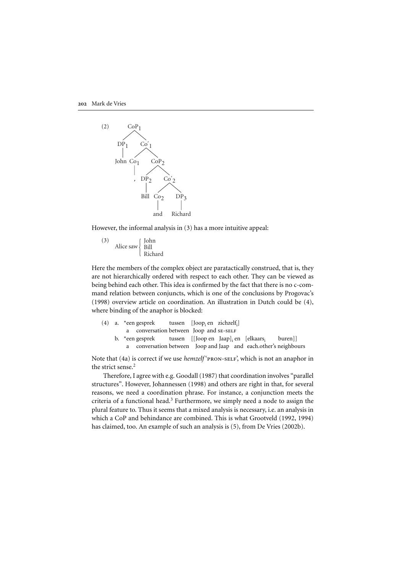

However, the informal analysis in (3) has a more intuitive appeal:

(3) Alice saw John Bill Richard {

Here the members of the complex object are paratactically construed, that is, they are not hierarchically ordered with respect to each other. They can be viewed as being behind each other. This idea is confirmed by the fact that there is no c-command relation between conjuncts, which is one of the conclusions by Progovac's (1998) overview article on coordination. An illustration in Dutch could be (4), where binding of the anaphor is blocked: 202 Mark dc Vries<br>
(2) CoP<sub>1</sub><br>  $\downarrow$  (2)<br>  $\downarrow$  (2)<br>  $\downarrow$  (2)<br>  $\downarrow$  (2)<br>  $\downarrow$  (2)<br>  $\downarrow$  (2)<br>  $\downarrow$  (2)<br>  $\downarrow$  (2)<br>  $\downarrow$  (2)<br>  $\downarrow$  (2)<br>  $\downarrow$  (2)<br>  $\downarrow$  (2)<br>  $\downarrow$  (2)<br>  $\downarrow$  (2)<br>  $\downarrow$  (2)<br>  $\downarrow$  (2)<br>  $\downarrow$  (2)<br>  $\down$ 2021 Mark de Vries<br>
(2) Co<sup>p</sup><sub>1</sub><br>
(2) Co<sup>p</sup><sub>2</sub><br>
(3) Co<sup>1</sup><sub>2</sub><br>
(3) Co<sup>1</sup><sub>2</sub><br>
(3) Co<sup>1</sup><sub>2</sub><br>
(3) Co<sup>2</sup><sub>2</sub><br>
(3) Co<sup>2</sup><sub>2</sub><br>
(3) Co<sup>2</sup>2<br>
(3) Co<sup>2</sup>2<br>
(3) Co<sup>2</sup>2<br>
(3) Co<sup>2</sup>2<br>
(3) Co<sup>2</sup>2<br>
(3) Consequent in the same intuitive appeal

|  | (4) a. *een gesprek tussen [Joop, en zichzelf.]                                         |  |  |  |
|--|-----------------------------------------------------------------------------------------|--|--|--|
|  | a conversation between Joop and SE-SELF                                                 |  |  |  |
|  | b. *een gesprek tussen $[[\text{loop en Jaap}], \text{en } [\text{elkaars}]$ buren $]]$ |  |  |  |
|  | a conversation between Joop and Jaap and each other's neighbours                        |  |  |  |
|  |                                                                                         |  |  |  |

Note that (4a) is correct if we use *hemzelf* 'PRON-SELF', which is not an anaphor in the strict sense  $2$ 

Therefore, I agree with e.g. Goodall (1987) that coordination involves "parallel criteria of a functional head.<sup>3</sup> Furthermore, we simply need a node to assign the plural feature to. Thus it seems that a mixed analysis is necessary, i.e. an analysis in which a CoP and behindance are combined. This is what [Grootveld \(1992, 1994\)](#page-10-0) 202 Mark de Vries<br>
(2) Co<sup>p</sup><sub>1</sub><br>
(2) Co<sup>p</sup><sub>1</sub><br>
(2) Co<sup>p</sup><sub>2</sub><br>
(2) Co<sup>p</sup><sub>2</sub><br>
(2) Co<sup>p</sup><sub>2</sub><br>
(2) An example of such any stress of the complex object are part<br>attribute appeal:<br>
(3) Alice saw  $\begin{bmatrix} \sinh(\cos\theta) \\ \sinh(\cos\theta) \\ \sinh(\cos\theta) \$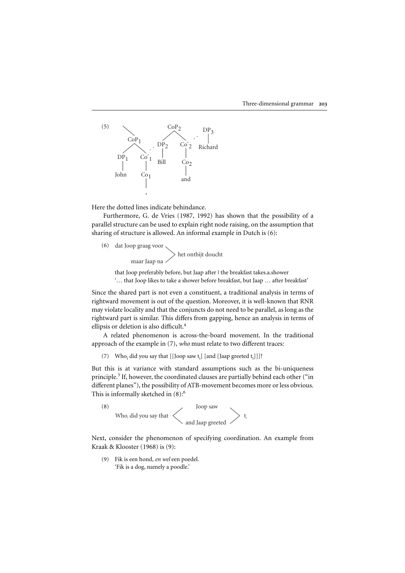

Here the dotted lines indicate behindance.

Furthermore, G. de [Vries \(1987, 1992\)](#page-11-0) has shown that the possibility of a parallel structure can be used to explain right node raising, on the assumption that sharing of structure is allowed. An informal example in Dutch is (6):

$$
\begin{array}{c}\n\text{(6)} \quad \text{dat Joop graag voor} \\
 \text{maar Jaap na}\n\end{array}\n\right\} \text{ het ontbijt doucht}
$$

that Joop preferably before, but Jaap after | the breakfast takes.a.shower '… that Joop likes to take a shower before breakfast, but Jaap … after breakfast'

Since the shared part is not even a constituent, a traditional analysis in terms of rightward movement is out of the question. Moreover, it is well-known that RNR may violate locality and that the conjuncts do not need to be parallel, as long as the rightward part is similar. This differs from gapping, hence an analysis in terms of ellipsis or deletion is also difficult.<sup>[4](#page-10-0)</sup>

A related phenomenon is across-the-board movement. In the traditional approach of the example in (7), *who* must relate to two different traces:

(7) Who<sub>i</sub> did you say that [[Joop saw  $t_i$ ] [and [Jaap greeted  $t_i$ ]]]?

But this is at variance with standard assumptions such as the bi-uniqueness principle.5 If, however, the coordinated clauses are partially behind each other ("in different planes"), the possibility of ATB-movement becomes more or less obvious. This is informally sketched in  $(8)$ :<sup>[6](#page-10-0)</sup>



Next, consider the phenomenon of specifying coordination. An example from [Kraak & Klooster \(1968\)](#page-11-0) is (9):

'Fik is a dog, namely a poodle.'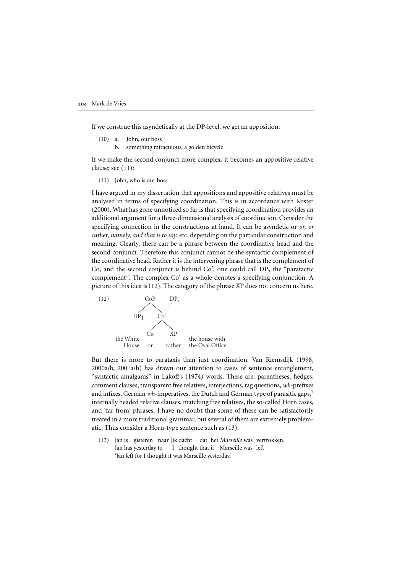If we construe this asyndetically at the DP-level, we get an apposition:

- (10) a. John, our boss
	- b. something miraculous, a golden bicycle

If we make the second conjunct more complex, it becomes an appositive relative clause; see (11):

(11) John, who is our boss

I have argued in my dissertation that appositions and appositive relatives must be analysed in terms of specifying coordination. This is in accordance with Koster (2000). What has gone unnoticed so far is that specifying coordination provides an additional argument for a three-dimensional analysis of coordination. Consider the specifying connection in the constructions at hand. It can be asyndetic or *or, or rather, namely, and that is to say*, etc. depending on the particular construction and meaning. Clearly, there can be a phrase between the coordinative head and the second conjunct. Therefore this conjunct cannot be the syntactic complement of the coordinative head. Rather it is the intervening phrase that is the complement of Co, and the second conjunct is behind  $Co'$ ; one could call  $DP<sub>2</sub>$  the "paratactic complement". The complex Co' as a whole denotes a specifying conjunction. A picture of this idea is (12). The category of the phrase XP does not concern us here. 204 Mark de Vries<br>
16 we construe this asyndetically at the DP-level, we get an apposition:<br>
(10) a. John, our boss<br>
5. something miraculous, a golden hicycle<br>
17 we make the second conjunct more complex, it becomes an ap 204 Mark de Vries<br>
If we construe this asyndetically at the DP-level, we get an apposition:<br>
(10) a. John un bass<br>
b. something miraculous, a golden bicycle<br>
If we make the second conjunct more complex, it becomes an appo



But there is more to parataxis than just coordination. Van Riemsdijk (1998, "syntactic amalgams" in Lakoff's (1974) words. These are: parentheses, hedges, and infixes, German *wh*-imperatives, the Dutch and German type of parasitic gaps[,7](#page-10-0) internally headed relative clauses, matching free relatives, the so-called Horn cases, and 'far from' phrases. I have no doubt that some of these can be satisfactorily treated in a more traditional grammar, but several of them are extremely problematic. Thus consider a Horn-type sentence such as (13):

(13) Jan is gisteren naar [ik dacht dat het *Marseille* was] vertrokken. Jan has yesterday to I thought that it Marseille was left 'Jan left for I thought it was Marseille yesterday.'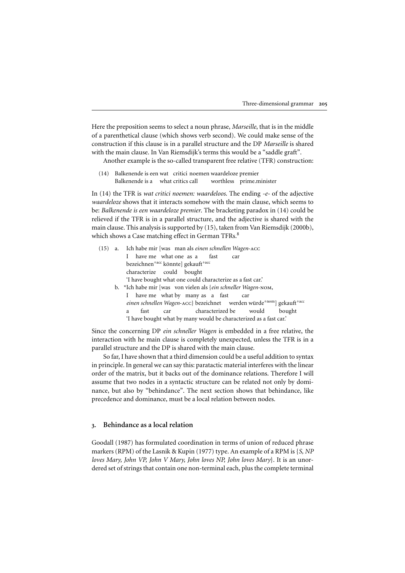Here the preposition seems to select a noun phrase, *Marseille*, that is in the middle of a parenthetical clause (which shows verb second). We could make sense of the construction if this clause is in a parallel structure and the DP *Marseille* is shared with the main clause. In Van Riemsdijk's terms this would be a "saddle graft".

Another example is the so-called transparent free relative (TFR) construction:

(14) Balkenende is een wat critici noemen waardeloze premier Balkenende is a what critics call worthless prime.minister

In (14) the TFR is *wat critici noemen: waardeloos*. The ending *-e-* of the adjective *waardeloze* shows that it interacts somehow with the main clause, which seems to be: *Balkenende is een waardeloze premier*. The bracketing paradox in (14) could be relieved if the TFR is in a parallel structure, and the adjective is shared with the main clause. This analysis is supported by (15), taken from Van [Riemsdijk \(2000b\),](#page-11-0) which shows a Case matching effect in German TFRs.<sup>8</sup>

(15) a. Ich habe mir [was man als *einen schnellen Wagen*-acc I have me what one as a fast car bezeichnen+acc könnte] gekauft+acc characterize could bought 'I have bought what one could characterize as a fast car.' b. \*Ich habe mir [was von vielen als {*ein schneller Wagen*-nom, I have me what by many as a fast car einen schnellen Wagen-ACC} bezeichnet werden würde<sup>+nom</sup>] gekauft<sup>+acc</sup> a fast car characterized be would bought 'I have bought what by many would be characterized as a fast car.' Three-dimensional guannar<br>
There the preposition seems to select a noun phrase, *Marsellie*, that is in the middle<br>
of a parametrical clause (sivich shows welts accord). We could make sense of the<br>
orbit the main clause,

Since the concerning DP *ein schneller Wagen* is embedded in a free relative, the interaction with he main clause is completely unexpected, unless the TFR is in a parallel structure and the DP is shared with the main clause.

So far, I have shown that a third dimension could be a useful addition to syntax in principle. In general we can say this: paratactic material interferes with the linear order of the matrix, but it backs out of the dominance relations. Therefore I will assume that two nodes in a syntactic structure can be related not only by dominance, but also by "behindance". The next section shows that behindance, like precedence and dominance, must be a local relation between nodes.

# 3. Behindance as a local relation

Goodall (1987) has formulated coordination in terms of union of reduced phrase *loves Mary, John VP, John V Mary, John loves NP, John loves Mary*}. It is an unordered set of strings that contain one non-terminal each, plus the complete terminal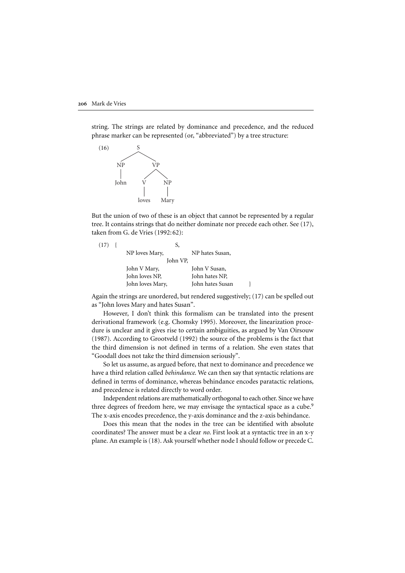

| 206 Mark de Vries  |                                                    |                                                                                                                                                                                                                                                                                                                                         |      |  |
|--------------------|----------------------------------------------------|-----------------------------------------------------------------------------------------------------------------------------------------------------------------------------------------------------------------------------------------------------------------------------------------------------------------------------------------|------|--|
|                    |                                                    | string. The strings are related by dominance and precedence, and the reduced<br>phrase marker can be represented (or, "abbreviated") by a tree structure:                                                                                                                                                                               |      |  |
| (16)<br>NP<br>John | S<br><b>VP</b><br><b>NP</b><br>loves<br>Mary       |                                                                                                                                                                                                                                                                                                                                         |      |  |
|                    | taken from G. de Vries (1992:62):                  | But the union of two of these is an object that cannot be represented by a regular<br>tree. It contains strings that do neither dominate nor precede each other. See (17),                                                                                                                                                              |      |  |
| $(17)$ {           | S,<br>NP loves Mary,<br>John VP,                   | NP hates Susan,                                                                                                                                                                                                                                                                                                                         |      |  |
|                    | John V Mary,<br>John loves NP,<br>John loves Mary, | John V Susan,<br>John hates NP,<br>John hates Susan                                                                                                                                                                                                                                                                                     | $\}$ |  |
|                    | as "John loves Mary and hates Susan".              | Again the strings are unordered, but rendered suggestively; (17) can be spelled out<br>However, I don't think this formalism can be translated into the present<br>derivational framework (e.g. Chomsky 1995). Moreover, the linearization proce-<br>dure is unclear and it gives rise to certain ambiguities, as argued by Van Oirsouw |      |  |

However, I don't think this formalism can be translated into the present derivational framework (e.g. Chomsky 1995). Moreover, the linearization proce- 206 Mark de Vries<br>
string. The strings are related by dominance and precedence, and the reduced<br>
phrase marker can be represented (or, "abbreviated") by a tree structure:<br>
(16)<br>
Supper the source of the source of the sour 200 Mark de Vries<br>
string. The strings are related by dominance and precedence, and the reduced<br>
phrase marker can be represented (or, "abbreviated") by a tree structure:<br>
(16)<br>
She even the two of these is an object that "Goodall does not take the third dimension seriously".

> So let us assume, as argued before, that next to dominance and precedence we have a third relation called *behindance*. We can then say that syntactic relations are defined in terms of dominance, whereas behindance encodes paratactic relations, and precedence is related directly to word order.

> Independent relations are mathematically orthogonal to each other. Since we have three degrees of freedom here, we may envisage the syntactical space as a cube.<sup>[9](#page-10-0)</sup> The x-axis encodes precedence, the y-axis dominance and the z-axis behindance.

> Does this mean that the nodes in the tree can be identified with absolute coordinates? The answer must be a clear *no*. First look at a syntactic tree in an x-y plane. An example is (18). Ask yourself whether node I should follow or precede C.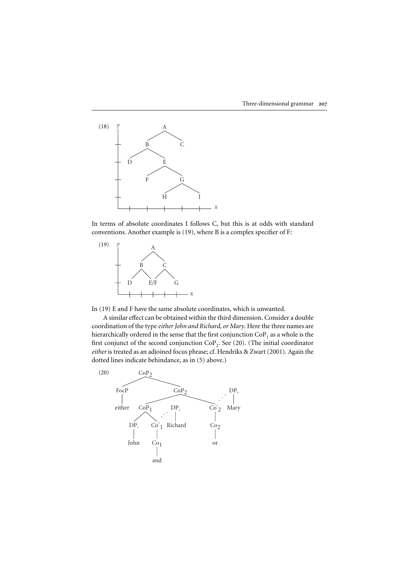

In terms of absolute coordinates I follows C, but this is at odds with standard conventions. Another example is (19), where B is a complex specifier of F:



In (19) E and F have the same absolute coordinates, which is unwanted.

A similar effect can be obtained within the third dimension. Consider a double coordination of the type *either John and Richard, or Mary*. Here the three names are hierarchically ordered in the sense that the first conjunction  $CoP<sub>1</sub>$  as a whole is the first conjunct of the second conjunction  $CoP_2$ . See (20). (The initial coordinator *either* is treated as an adjoined focus phrase; cf. [Hendriks & Zwart \(2001\)](#page-10-0). Again the dotted lines indicate behindance, as in (5) above.)

 $\text{CoP}_2$ FocP either CoP<sub>1</sub>  $DP_1$  Co'<sub>1</sub> Richard John Co<sub>1</sub> and  $CoP<sub>2</sub>$  $DP<sub>2</sub>$  $Co'_{2}$  $Co<sub>2</sub>$ or  $DP<sub>3</sub>$ Mary . . . . . .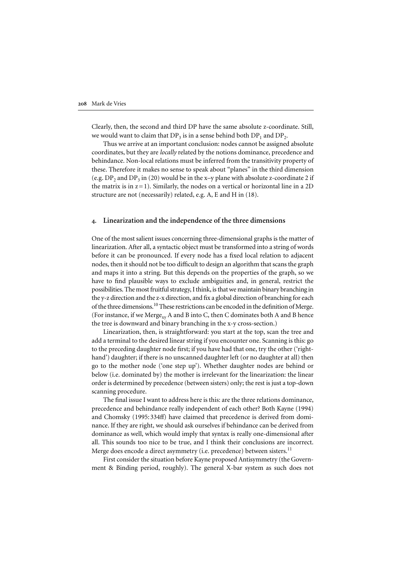Clearly, then, the second and third DP have the same absolute z-coordinate. Still, we would want to claim that  $DP_3$  is in a sense behind both  $DP_1$  and  $DP_2$ .

Thus we arrive at an important conclusion: nodes cannot be assigned absolute coordinates, but they are *locally* related by the notions dominance, precedence and behindance. Non-local relations must be inferred from the transitivity property of these. Therefore it makes no sense to speak about "planes" in the third dimension (e.g.  $DP_2$  and  $DP_3$  in (20) would be in the x-y plane with absolute z-coordinate 2 if the matrix is in  $z=1$ ). Similarly, the nodes on a vertical or horizontal line in a 2D structure are not (necessarily) related, e.g. A, E and H in (18).

#### 4. Linearization and the independence of the three dimensions

One of the most salient issues concerning three-dimensional graphs is the matter of linearization. After all, a syntactic object must be transformed into a string of words before it can be pronounced. If every node has a fixed local relation to adjacent nodes, then it should not be too difficult to design an algorithm that scans the graph and maps it into a string. But this depends on the properties of the graph, so we have to find plausible ways to exclude ambiguities and, in general, restrict the possibilities. The most fruitful strategy, I think, is that we maintain binary branching in the y-z direction and the z-x direction, and fix a global direction of branching for each of the three dimensions.10 These restrictions can be encoded in the definition of Merge. (For instance, if we Merge<sub>xy</sub> A and B into C, then C dominates both A and B hence the tree is downward and binary branching in the x-y cross-section.) 268 Mark de Vries<br>
(Learly, then, the second and third DP have the same absolute z-coordinate. Still, we would wont the calibre more behind both DP, and DP<sub>2</sub>, the System condinates, but they are *leadly* related by the n

Linearization, then, is straightforward: you start at the top, scan the tree and add a terminal to the desired linear string if you encounter one. Scanning is this: go to the preceding daughter node first; if you have had that one, try the other ('righthand') daughter; if there is no unscanned daughter left (or no daughter at all) then go to the mother node ('one step up'). Whether daughter nodes are behind or below (i.e. dominated by) the mother is irrelevant for the linearization: the linear order is determined by precedence (between sisters) only; the rest is just a top-down scanning procedure.

The final issue I want to address here is this: are the three relations dominance, precedence and behindance really independent of each other? Both Kayne (1994) and Chomsky (1995:334ff) have claimed that precedence is derived from domi dominance as well, which would imply that syntax is really one-dimensional after all. This sounds too nice to be true, and I think their conclusions are incorrect. Merge does encode a direct asymmetry (i.e. precedence) between sisters.<sup>[11](#page-10-0)</sup>

First consider the situation before Kayne proposed Antisymmetry (the Government & Binding period, roughly). The general X-bar system as such does not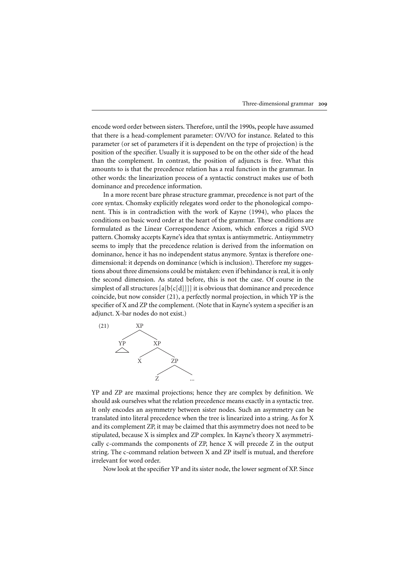encode word order between sisters. Therefore, until the 1990s, people have assumed that there is a head-complement parameter: OV/VO for instance. Related to this parameter (or set of parameters if it is dependent on the type of projection) is the position of the specifier. Usually it is supposed to be on the other side of the head than the complement. In contrast, the position of adjuncts is free. What this amounts to is that the precedence relation has a real function in the grammar. In other words: the linearization process of a syntactic construct makes use of both dominance and precedence information.

In a more recent bare phrase structure grammar, precedence is not part of the core syntax. Chomsky explicitly relegates word order to the phonological component. This is in contradiction with the work of [Kayne \(1994\),](#page-10-0) who places the conditions on basic word order at the heart of the grammar. These conditions are formulated as the Linear Correspondence Axiom, which enforces a rigid SVO pattern. Chomsky accepts Kayne's idea that syntax is antisymmetric. Antisymmetry seems to imply that the precedence relation is derived from the information on dominance, hence it has no independent status anymore. Syntax is therefore onedimensional: it depends on dominance (which is inclusion). Therefore my suggestions about three dimensions could be mistaken: even if behindance is real, it is only the second dimension. As stated before, this is not the case. Of course in the simplest of all structures  $[a[b[c[d]]]]$  it is obvious that dominance and precedence coincide, but now consider (21), a perfectly normal projection, in which YP is the specifier of X and ZP the complement. (Note that in Kayne's system a specifier is an adjunct. X-bar nodes do not exist.)



YP and ZP are maximal projections; hence they are complex by definition. We should ask ourselves what the relation precedence means exactly in a syntactic tree. It only encodes an asymmetry between sister nodes. Such an asymmetry can be translated into literal precedence when the tree is linearized into a string. As for X and its complement ZP, it may be claimed that this asymmetry does not need to be stipulated, because X is simplex and ZP complex. In Kayne's theory X asymmetrically c-commands the components of ZP, hence X will precede Z in the output string. The c-command relation between X and ZP itself is mutual, and therefore irrelevant for word order.

Now look at the specifier YP and its sister node, the lower segment of XP. Since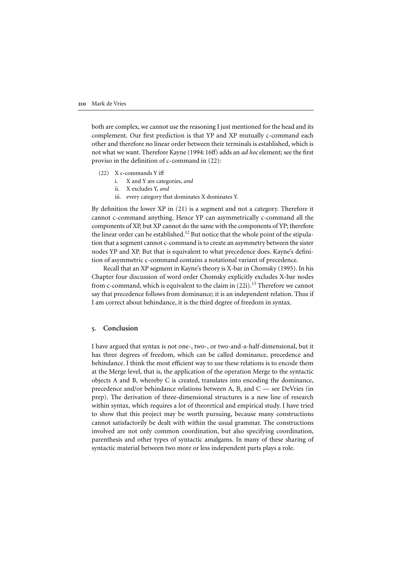both are complex, we cannot use the reasoning I just mentioned for the head and its complement. Our first prediction is that YP and XP mutually c-command each other and therefore no linear order between their terminals is established, which is not what we want. Therefore Kayne (1994:16ff) adds an *ad hoc* element; see the first proviso in the definition of c-command in (22):

- (22) X c-commands Y iff
	- i. X and Y are categories, *and*
	- ii. X excludes Y, *and*
	- iii. every category that dominates X dominates Y.

By definition the lower XP in (21) is a segment and not a category. Therefore it cannot c-command anything. Hence YP can asymmetrically c-command all the components of XP, but XP cannot do the same with the components of YP; therefore the linear order can be established.<sup>12</sup> But notice that the whole point of the stipulation that a segment cannot c-command is to create an asymmetry between the sister nodes YP and XP. But that is equivalent to what precedence does. Kayne's definition of asymmetric c-command contains a notational variant of precedence. 210 Mark de Vries<br>
both are complex, we cannot use the reasoning I just mentioned for the head and its<br>
complement. Our first prediction is that YP and XP mutually c-command each<br>
other and therefore no linear order betwe

Recall that an XP segment in Kayne's theory is X-bar in Chomsky (1995). In his from c-command, which is equivalent to the claim in  $(22i).<sup>13</sup>$  $(22i).<sup>13</sup>$  $(22i).<sup>13</sup>$  Therefore we cannot say that precedence follows from dominance; it is an independent relation. Thus if I am correct about behindance, it is the third degree of freedom in syntax.

#### 5. Conclusion

I have argued that syntax is not one-, two-, or two-and-a-half-dimensional, but it has three degrees of freedom, which can be called dominance, precedence and behindance. I think the most efficient way to use these relations is to encode them at the Merge level, that is, the application of the operation Merge to the syntactic objects A and B, whereby C is created, translates into encoding the dominance, precedence and/or behindance relations between A, B, and C — see DeVries (in prep). The derivation of three-dimensional structures is a new line of research within syntax, which requires a lot of theoretical and empirical study. I have tried to show that this project may be worth pursuing, because many constructions cannot satisfactorily be dealt with within the usual grammar. The constructions involved are not only common coordination, but also specifying coordination, parenthesis and other types of syntactic amalgams. In many of these sharing of syntactic material between two more or less independent parts plays a role.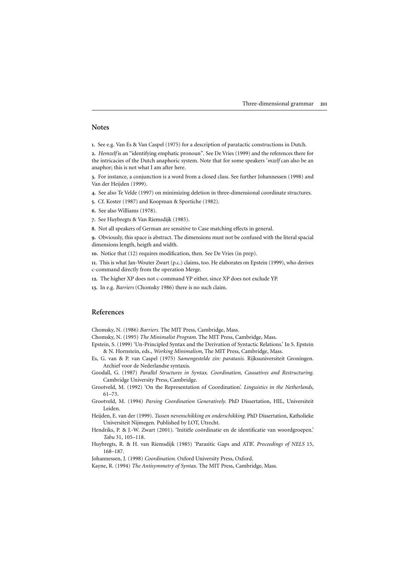#### <span id="page-10-0"></span>**Notes**

1. See e.g. Van Es & Van Caspel (1975) for a description of paratactic constructions in Dutch.

2. *Hemzelf* is an "identifying emphatic pronoun". See De Vries (1999) and the references there for the intricacies of the Dutch anaphoric system. Note that for some speakers 'mzelf can also be an Three-dimensional grammar<br> **Notes**<br>
1. See e.g. Van Es & Van Caspel (1975) for a description of paratactic constructions in Dutch.<br>
2. *Hemzelf* is an "identifying emphatic pronoun". See De Vries (1999) and the references anaphor; this is not what I am after here. **Notes**<br>
1. See e.g. Van Es & Van<br>
2. *Hemzelf* is an "identif<br>
the intricacies of the Du<br>
anaphor; this is not wha<br>
3. For instance, a conjun<br>
Van der Heijden (1999). **Notes**<br>
1. See e.g. Van Es & Van Caspel (1975) for a des<br>
2. *Hemzelf* is an "identifying emphatic pronoun"<br>
the intricacies of the Dutch anaphoric system. 1<br>
anaphor; this is not what I am after here.<br>
3. For instance, a Three-dimens<br>
1. See e.g. Van Es & Van Caspel (1975) for a description of paratactic construction<br>
2. *Hemzelf* is an "identifying emphatic pronoun". See De Vires (1999) and the refine<br>
the intricacies of the Dutch anaphor Notes<br>
1. See e.g. Van Es & Van Caspel (1975) for a d<br>
2. *Hemzelf* is an "identifying emphatic pronou the intricacies of the Duch anaphoric system anaphoric system and phoric system and form Van der Heijden (1999).<br>
4. Se Notes<br>
1. See e.g. V<br>
2. *Hemzelf*<br>
the intricac<br>
anaphor; th<br>
3. For insta<br>
Van der Hei<br>
4. See also<br>
5. Cf. Koste<br>
6. See also<br>
7. See Huy<br>
8. Not all s<br>
9. Obvious<br>
dimensions<br>
10. Notice<br>
11. This is w<br>
c-commanc<br>
12.

3. For instance, a conjunction is a word from a closed class. See further Johannessen (1998) and

4. See also Te Velde (1997) on minimizing deletion in three-dimensional coordinate structures.

- 5. Cf. Koster (1987) and [Koopman & Sportiche \(1982\).](#page-11-0)
- 6. See also Williams (1978).
- 7. See Huybregts & Van Riemsdijk (1985).
- 8. Not all speakers of German are sensitive to Case matching effects in general.

9. Obviously, this space is abstract. The dimensions must not be confused with the literal spacial dimensions length, heigth and width.

10. Notice that (12) requires modification, then. See De Vries (in prep).

11. This is what Jan-Wouter Zwart (p.c.) claims, too. He elaborates on Epstein (1999), who derives

12. The higher XP does not c-command YP either, since XP does not exclude YP.

13. In e.g. *Barriers* (Chomsky 1986) there is no such claim.

# References

Chomsky, N. (1986) *Barriers.* The MIT Press, Cambridge, Mass.

- Epstein, S. (1999) 'Un-Principled Syntax and the Derivation of Syntactic Relations.' In S. Epstein & N. Hornstein, eds., *Working Minimalism*, The MIT Press, Cambridge, Mass.
- Es, G. van & P. van Caspel (1975) *Samengestelde zin: parataxis.* Rijksuniversiteit Groningen. Archief voor de Nederlandse syntaxis.
- Goodall, G. (1987) *Parallel Structures in Syntax. Coordination, Causatives and Restructuring.*
- Grootveld, M. (1992) 'On the Representation of Coordination'. *Linguistics in the Netherlands*,
- Grootveld, M. (1994) *Parsing Coordination Generatively.* PhD Dissertation, HIL, Universiteit Leiden.
- Heijden, E. van der (1999). *Tussen nevenschikking en onderschikking*. PhD Dissertation, Katholieke Universiteit Nijmegen. Published by LOT, Utrecht.
- Hendriks, P. & J.-W. Zwart (2001). 'Initiële coördinatie en de identificatie van woordgroepen.' *Tabu* 31, 105–118.
- Huybregts, R. & H. van Riemsdijk (1985) 'Parasitic Gaps and ATB'. *Proceedings of NELS* 15, 168–187.
- Johannessen, J. (1998) *Coordination*. Oxford University Press, Oxford.
- Kayne, R. (1994) *The Antisymmetry of Syntax.* The MIT Press, Cambridge, Mass.